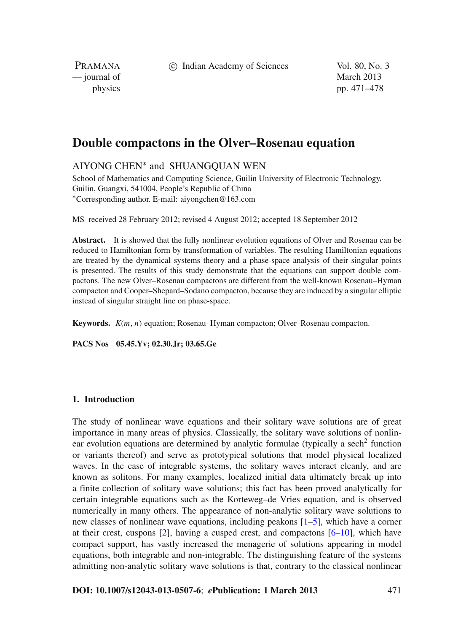c Indian Academy of Sciences Vol. 80, No. 3

PRAMANA — journal of March 2013

physics pp. 471–478

# **Double compactons in the Olver–Rosenau equation**

# AIYONG CHEN<sup>∗</sup> and SHUANGQUAN WEN

School of Mathematics and Computing Science, Guilin University of Electronic Technology, Guilin, Guangxi, 541004, People's Republic of China <sup>∗</sup>Corresponding author. E-mail: aiyongchen@163.com

MS received 28 February 2012; revised 4 August 2012; accepted 18 September 2012

**Abstract.** It is showed that the fully nonlinear evolution equations of Olver and Rosenau can be reduced to Hamiltonian form by transformation of variables. The resulting Hamiltonian equations are treated by the dynamical systems theory and a phase-space analysis of their singular points is presented. The results of this study demonstrate that the equations can support double compactons. The new Olver–Rosenau compactons are different from the well-known Rosenau–Hyman compacton and Cooper–Shepard–Sodano compacton, because they are induced by a singular elliptic instead of singular straight line on phase-space.

**Keywords.** *K*(*m*, *n*) equation; Rosenau–Hyman compacton; Olver–Rosenau compacton.

**PACS Nos 05.45.Yv; 02.30.Jr; 03.65.Ge**

## **1. Introduction**

The study of nonlinear wave equations and their solitary wave solutions are of great importance in many areas of physics. Classically, the solitary wave solutions of nonlinear evolution equations are determined by analytic formulae (typically a sech<sup>2</sup> function or variants thereof) and serve as prototypical solutions that model physical localized waves. In the case of integrable systems, the solitary waves interact cleanly, and are known as solitons. For many examples, localized initial data ultimately break up into a finite collection of solitary wave solutions; this fact has been proved analytically for certain integrable equations such as the Korteweg–de Vries equation, and is observed numerically in many others. The appearance of non-analytic solitary wave solutions to new classes of nonlinear wave equations, including peakons [\[1](#page-6-0)[–5\]](#page-7-0), which have a corner at their crest, cuspons [\[2\]](#page-6-1), having a cusped crest, and compactons [\[6](#page-7-1)[–10](#page-7-2)], which have compact support, has vastly increased the menagerie of solutions appearing in model equations, both integrable and non-integrable. The distinguishing feature of the systems admitting non-analytic solitary wave solutions is that, contrary to the classical nonlinear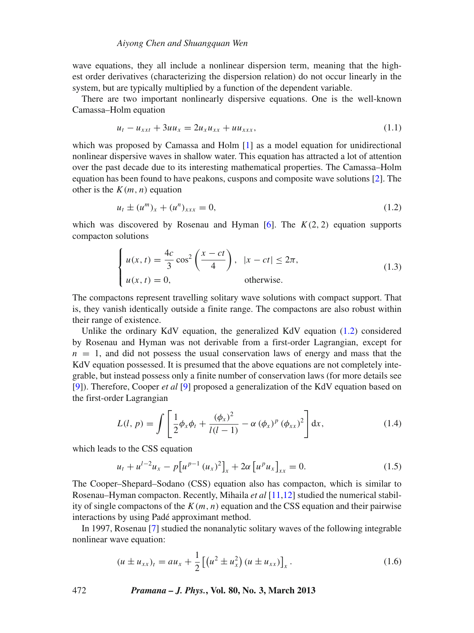wave equations, they all include a nonlinear dispersion term, meaning that the highest order derivatives (characterizing the dispersion relation) do not occur linearly in the system, but are typically multiplied by a function of the dependent variable.

There are two important nonlinearly dispersive equations. One is the well-known Camassa–Holm equation

$$
u_t - u_{xxt} + 3uu_x = 2u_x u_{xx} + uu_{xxx}, \qquad (1.1)
$$

which was proposed by Camassa and Holm [\[1](#page-6-0)] as a model equation for unidirectional nonlinear dispersive waves in shallow water. This equation has attracted a lot of attention over the past decade due to its interesting mathematical properties. The Camassa–Holm equation has been found to have peakons, cuspons and composite wave solutions [\[2\]](#page-6-1). The other is the  $K(m, n)$  equation

<span id="page-1-0"></span>
$$
u_t \pm (u^m)_x + (u^n)_{xxx} = 0,
$$
\n(1.2)

which was discovered by Rosenau and Hyman  $[6]$ . The  $K(2, 2)$  equation supports compacton solutions

$$
\begin{cases}\n u(x,t) = \frac{4c}{3} \cos^2\left(\frac{x-ct}{4}\right), & |x-ct| \le 2\pi, \\
 u(x,t) = 0, & \text{otherwise.} \n\end{cases}
$$
\n(1.3)

The compactons represent travelling solitary wave solutions with compact support. That is, they vanish identically outside a finite range. The compactons are also robust within their range of existence.

Unlike the ordinary KdV equation, the generalized KdV equation [\(1.2\)](#page-1-0) considered by Rosenau and Hyman was not derivable from a first-order Lagrangian, except for  $n = 1$ , and did not possess the usual conservation laws of energy and mass that the KdV equation possessed. It is presumed that the above equations are not completely integrable, but instead possess only a finite number of conservation laws (for more details see [\[9](#page-7-3)]). Therefore, Cooper *et al* [\[9](#page-7-3)] proposed a generalization of the KdV equation based on the first-order Lagrangian

$$
L(l, p) = \int \left[ \frac{1}{2} \phi_x \phi_t + \frac{(\phi_x)^2}{l(l-1)} - \alpha (\phi_x)^p (\phi_{xx})^2 \right] dx, \tag{1.4}
$$

which leads to the CSS equation

$$
u_t + u^{l-2}u_x - p[u^{p-1} (u_x)^2]_x + 2\alpha [u^p u_x]_{xx} = 0.
$$
 (1.5)

The Cooper–Shepard–Sodano (CSS) equation also has compacton, which is similar to Rosenau–Hyman compacton. Recently, Mihaila *et al* [\[11](#page-7-4)[,12\]](#page-7-5) studied the numerical stability of single compactons of the  $K(m, n)$  equation and the CSS equation and their pairwise interactions by using Padé approximant method.

In 1997, Rosenau [\[7](#page-7-6)] studied the nonanalytic solitary waves of the following integrable nonlinear wave equation:

<span id="page-1-1"></span>
$$
(u \pm u_{xx})_t = au_x + \frac{1}{2} \left[ \left( u^2 \pm u_x^2 \right) (u \pm u_{xx}) \right]_x. \tag{1.6}
$$

472 *Pramana – J. Phys.***, Vol. 80, No. 3, March 2013**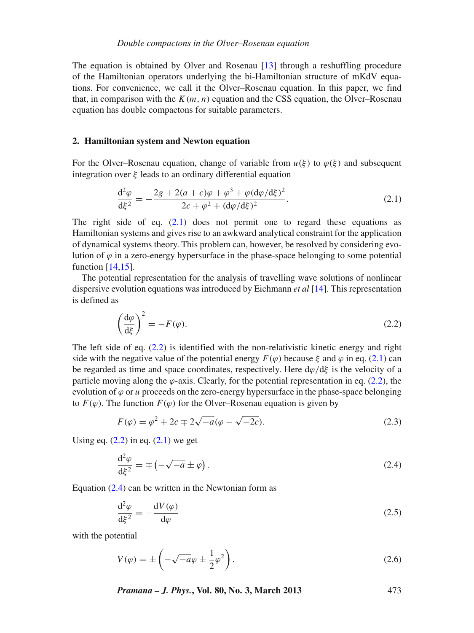The equation is obtained by Olver and Rosenau [\[13](#page-7-7)] through a reshuffling procedure of the Hamiltonian operators underlying the bi-Hamiltonian structure of mKdV equations. For convenience, we call it the Olver–Rosenau equation. In this paper, we find that, in comparison with the  $K(m, n)$  equation and the CSS equation, the Olver–Rosenau equation has double compactons for suitable parameters.

#### **2. Hamiltonian system and Newton equation**

For the Olver–Rosenau equation, change of variable from  $u(\xi)$  to  $\varphi(\xi)$  and subsequent integration over  $\xi$  leads to an ordinary differential equation

<span id="page-2-0"></span>
$$
\frac{d^2\varphi}{d\xi^2} = -\frac{2g + 2(a+c)\varphi + \varphi^3 + \varphi (d\varphi/d\xi)^2}{2c + \varphi^2 + (d\varphi/d\xi)^2}.
$$
\n(2.1)

The right side of eq.  $(2.1)$  does not permit one to regard these equations as Hamiltonian systems and gives rise to an awkward analytical constraint for the application of dynamical systems theory. This problem can, however, be resolved by considering evolution of  $\varphi$  in a zero-energy hypersurface in the phase-space belonging to some potential function [\[14](#page-7-8)[,15](#page-7-9)].

The potential representation for the analysis of travelling wave solutions of nonlinear dispersive evolution equations was introduced by Eichmann *et al* [\[14](#page-7-8)]. This representation is defined as

<span id="page-2-1"></span>
$$
\left(\frac{\mathrm{d}\varphi}{\mathrm{d}\xi}\right)^2 = -F(\varphi). \tag{2.2}
$$

The left side of eq.  $(2.2)$  is identified with the non-relativistic kinetic energy and right side with the negative value of the potential energy  $F(\varphi)$  because  $\xi$  and  $\varphi$  in eq. [\(2.1\)](#page-2-0) can be regarded as time and space coordinates, respectively. Here  $d\varphi/d\xi$  is the velocity of a particle moving along the  $\varphi$ -axis. Clearly, for the potential representation in eq. [\(2.2\)](#page-2-1), the evolution of  $\varphi$  or  $u$  proceeds on the zero-energy hypersurface in the phase-space belonging to  $F(\varphi)$ . The function  $F(\varphi)$  for the Olver–Rosenau equation is given by

$$
F(\varphi) = \varphi^2 + 2c \mp 2\sqrt{-a}(\varphi - \sqrt{-2c}).
$$
\n(2.3)

Using eq.  $(2.2)$  in eq.  $(2.1)$  we get

<span id="page-2-2"></span>
$$
\frac{\mathrm{d}^2 \varphi}{\mathrm{d}\xi^2} = \mp \left( -\sqrt{-a} \pm \varphi \right). \tag{2.4}
$$

Equation  $(2.4)$  can be written in the Newtonian form as

$$
\frac{\mathrm{d}^2 \varphi}{\mathrm{d}\xi^2} = -\frac{\mathrm{d}V(\varphi)}{\mathrm{d}\varphi} \tag{2.5}
$$

with the potential

$$
V(\varphi) = \pm \left( -\sqrt{-a}\varphi \pm \frac{1}{2}\varphi^2 \right). \tag{2.6}
$$

*Pramana – J. Phys.***, Vol. 80, No. 3, March 2013** 473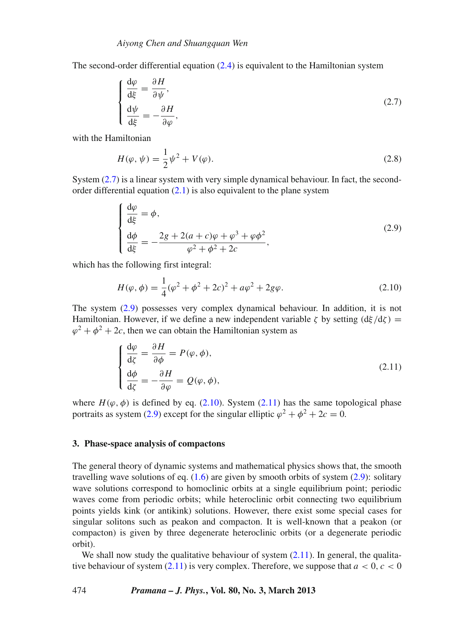The second-order differential equation [\(2.4\)](#page-2-2) is equivalent to the Hamiltonian system

<span id="page-3-0"></span>
$$
\begin{cases}\n\frac{\mathrm{d}\varphi}{\mathrm{d}\xi} = \frac{\partial H}{\partial \psi},\\
\frac{\mathrm{d}\psi}{\mathrm{d}\xi} = -\frac{\partial H}{\partial \varphi},\n\end{cases}
$$
\n(2.7)

with the Hamiltonian

$$
H(\varphi, \psi) = \frac{1}{2}\psi^2 + V(\varphi).
$$
 (2.8)

System [\(2.7\)](#page-3-0) is a linear system with very simple dynamical behaviour. In fact, the secondorder differential equation  $(2.1)$  is also equivalent to the plane system

<span id="page-3-1"></span>
$$
\begin{cases}\n\frac{d\varphi}{d\xi} = \phi, \n\frac{d\phi}{d\xi} = -\frac{2g + 2(a + c)\varphi + \varphi^3 + \varphi\phi^2}{\varphi^2 + \varphi^2 + 2c},\n\end{cases}
$$
\n(2.9)

which has the following first integral:

<span id="page-3-2"></span>
$$
H(\varphi, \phi) = \frac{1}{4}(\varphi^2 + \phi^2 + 2c)^2 + a\varphi^2 + 2g\varphi.
$$
 (2.10)

The system [\(2.9\)](#page-3-1) possesses very complex dynamical behaviour. In addition, it is not Hamiltonian. However, if we define a new independent variable  $\zeta$  by setting  $(d\xi/d\zeta)$  =  $\varphi^2 + \varphi^2 + 2c$ , then we can obtain the Hamiltonian system as

<span id="page-3-3"></span>
$$
\begin{cases}\n\frac{d\varphi}{d\zeta} = \frac{\partial H}{\partial \phi} = P(\varphi, \phi), \\
\frac{d\phi}{d\zeta} = -\frac{\partial H}{\partial \varphi} = Q(\varphi, \phi),\n\end{cases}
$$
\n(2.11)

where  $H(\varphi, \varphi)$  is defined by eq. [\(2.10\)](#page-3-2). System [\(2.11\)](#page-3-3) has the same topological phase portraits as system [\(2.9\)](#page-3-1) except for the singular elliptic  $\varphi^2 + \varphi^2 + 2c = 0$ .

#### **3. Phase-space analysis of compactons**

The general theory of dynamic systems and mathematical physics shows that, the smooth travelling wave solutions of eq.  $(1.6)$  are given by smooth orbits of system  $(2.9)$ : solitary wave solutions correspond to homoclinic orbits at a single equilibrium point; periodic waves come from periodic orbits; while heteroclinic orbit connecting two equilibrium points yields kink (or antikink) solutions. However, there exist some special cases for singular solitons such as peakon and compacton. It is well-known that a peakon (or compacton) is given by three degenerate heteroclinic orbits (or a degenerate periodic orbit).

We shall now study the qualitative behaviour of system  $(2.11)$ . In general, the qualitative behaviour of system  $(2.11)$  is very complex. Therefore, we suppose that  $a < 0, c < 0$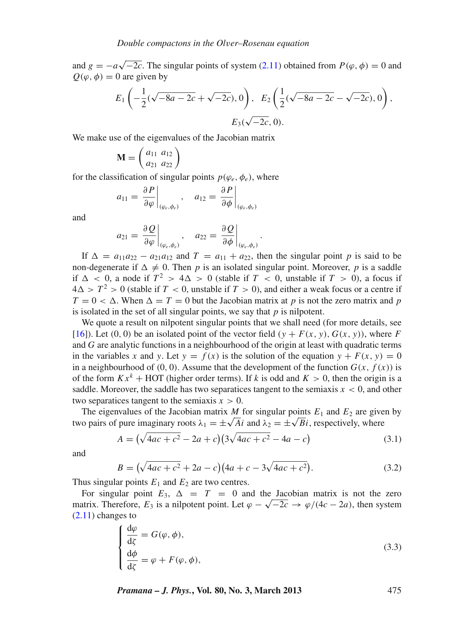and  $g = -a\sqrt{-2c}$ . The singular points of system [\(2.11\)](#page-3-3) obtained from  $P(\varphi, \phi) = 0$  and  $Q(\varphi, \varphi) = 0$  are given by

$$
E_1\left(-\frac{1}{2}(\sqrt{-8a-2c}+\sqrt{-2c}),0\right), E_2\left(\frac{1}{2}(\sqrt{-8a-2c}-\sqrt{-2c}),0\right),\newline E_3(\sqrt{-2c},0).
$$

We make use of the eigenvalues of the Jacobian matrix

$$
\mathbf{M} = \left(\begin{array}{cc} a_{11} & a_{12} \\ a_{21} & a_{22} \end{array}\right)
$$

for the classification of singular points  $p(\varphi_e, \varphi_e)$ , where

$$
a_{11} = \left. \frac{\partial P}{\partial \varphi} \right|_{(\varphi_e, \phi_e)}, \quad a_{12} = \left. \frac{\partial P}{\partial \phi} \right|_{(\varphi_e, \phi_e)}
$$

and

$$
a_{21} = \left. \frac{\partial Q}{\partial \varphi} \right|_{(\varphi_e, \phi_e)}, \quad a_{22} = \left. \frac{\partial Q}{\partial \phi} \right|_{(\varphi_e, \phi_e)}.
$$

If  $\Delta = a_{11}a_{22} - a_{21}a_{12}$  and  $T = a_{11} + a_{22}$ , then the singular point *p* is said to be non-degenerate if  $\Delta \neq 0$ . Then p is an isolated singular point. Moreover, p is a saddle if  $\Delta$  < 0, a node if  $T^2$  > 4 $\Delta$  > 0 (stable if  $T$  < 0, unstable if  $T$  > 0), a focus if  $4\Delta > T^2 > 0$  (stable if  $T < 0$ , unstable if  $T > 0$ ), and either a weak focus or a centre if  $T = 0 < \Delta$ . When  $\Delta = T = 0$  but the Jacobian matrix at *p* is not the zero matrix and *p* is isolated in the set of all singular points, we say that *p* is nilpotent.

We quote a result on nilpotent singular points that we shall need (for more details, see [\[16](#page-7-10)]). Let  $(0, 0)$  be an isolated point of the vector field  $(y + F(x, y), G(x, y))$ , where F and *G* are analytic functions in a neighbourhood of the origin at least with quadratic terms in the variables *x* and *y*. Let  $y = f(x)$  is the solution of the equation  $y + F(x, y) = 0$ in a neighbourhood of (0, 0). Assume that the development of the function  $G(x, f(x))$  is of the form  $Kx^k$  + HOT (higher order terms). If *k* is odd and  $K > 0$ , then the origin is a saddle. Moreover, the saddle has two separatices tangent to the semiaxis  $x < 0$ , and other two separatices tangent to the semiaxis  $x > 0$ .

The eigenvalues of the Jacobian matrix  $M$  for singular points  $E_1$  and  $E_2$  are given by two pairs of pure imaginary roots  $\lambda_1 = \pm \sqrt{A}i$  and  $\lambda_2 = \pm \sqrt{B}i$ , respectively, where

$$
A = (\sqrt{4ac + c^2} - 2a + c)(3\sqrt{4ac + c^2} - 4a - c)
$$
\n(3.1)

and

$$
B = (\sqrt{4ac + c^2} + 2a - c)(4a + c - 3\sqrt{4ac + c^2}).
$$
\n(3.2)

Thus singular points  $E_1$  and  $E_2$  are two centres.

For singular point  $E_3$ ,  $\Delta = T = 0$  and the Jacobian matrix is not the zero matrix. Therefore,  $E_3$  is a nilpotent point. Let  $\varphi - \sqrt{-2c} \to \varphi/(4c - 2a)$ , then system  $(2.11)$  changes to

$$
\begin{cases}\n\frac{d\varphi}{d\zeta} = G(\varphi, \phi), \n\frac{d\phi}{d\zeta} = \varphi + F(\varphi, \phi),\n\end{cases}
$$
\n(3.3)

*Pramana – J. Phys.***, Vol. 80, No. 3, March 2013** 475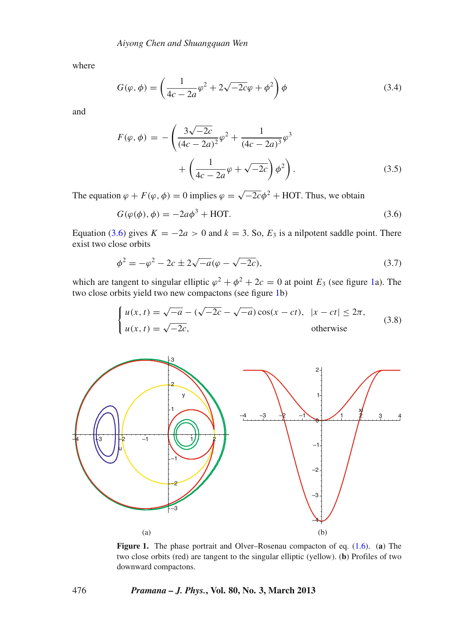where

$$
G(\varphi, \phi) = \left(\frac{1}{4c - 2a}\varphi^2 + 2\sqrt{-2c}\varphi + \phi^2\right)\phi\tag{3.4}
$$

and

$$
F(\varphi, \phi) = -\left(\frac{3\sqrt{-2c}}{(4c - 2a)^2} \varphi^2 + \frac{1}{(4c - 2a)^3} \varphi^3 + \left(\frac{1}{4c - 2a} \varphi + \sqrt{-2c}\right) \phi^2\right).
$$
\n(3.5)

The equation  $\varphi + F(\varphi, \phi) = 0$  implies  $\varphi = \sqrt{-2c}\phi^2 + HO$ T. Thus, we obtain

<span id="page-5-0"></span>
$$
G(\varphi(\phi), \phi) = -2a\phi^3 + \text{HOT}.
$$
\n(3.6)

Equation [\(3.6\)](#page-5-0) gives  $K = -2a > 0$  and  $k = 3$ . So,  $E_3$  is a nilpotent saddle point. There exist two close orbits

$$
\phi^2 = -\varphi^2 - 2c \pm 2\sqrt{-a}(\varphi - \sqrt{-2c}),\tag{3.7}
$$

which are tangent to singular elliptic  $\varphi^2 + \varphi^2 + 2c = 0$  at point  $E_3$  (see figure [1a](#page-5-1)). The two close orbits yield two new compactons (see figure [1b](#page-5-1))

$$
\begin{cases}\n u(x,t) = \sqrt{-a} - (\sqrt{-2c} - \sqrt{-a})\cos(x - ct), & |x - ct| \le 2\pi, \\
 u(x,t) = \sqrt{-2c}, & \text{otherwise}\n\end{cases}\n\tag{3.8}
$$

<span id="page-5-1"></span>

**Figure 1.** The phase portrait and Olver–Rosenau compacton of eq. [\(1.6\)](#page-1-1). (**a**) The two close orbits (red) are tangent to the singular elliptic (yellow). (**b**) Profiles of two downward compactons.

#### 476 *Pramana – J. Phys.***, Vol. 80, No. 3, March 2013**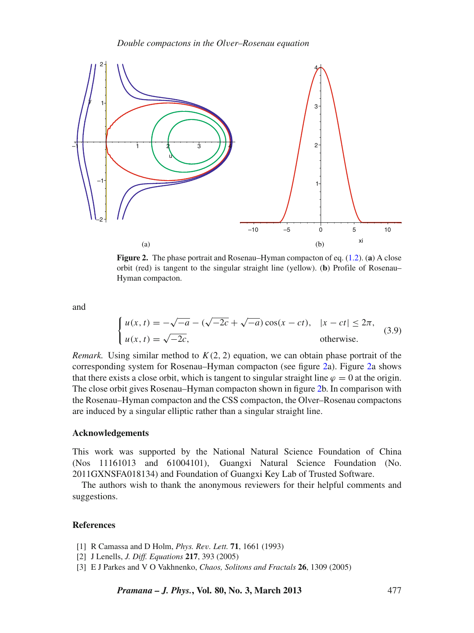*Double compactons in the Ol*v*er–Rosenau equation*

<span id="page-6-2"></span>

**Figure 2.** The phase portrait and Rosenau–Hyman compacton of eq. [\(1.2\)](#page-1-0). (**a**) A close orbit (red) is tangent to the singular straight line (yellow). (**b**) Profile of Rosenau– Hyman compacton.

and

$$
\begin{cases}\n u(x, t) = -\sqrt{-a} - (\sqrt{-2c} + \sqrt{-a}) \cos(x - ct), & |x - ct| \le 2\pi, \\
 u(x, t) = \sqrt{-2c}, & \text{otherwise.} \n\end{cases}
$$
\n(3.9)

*Remark.* Using similar method to  $K(2, 2)$  equation, we can obtain phase portrait of the corresponding system for Rosenau–Hyman compacton (see figure [2a](#page-6-2)). Figure [2a](#page-6-2) shows that there exists a close orbit, which is tangent to singular straight line  $\varphi = 0$  at the origin. The close orbit gives Rosenau–Hyman compacton shown in figure [2b](#page-6-2). In comparison with the Rosenau–Hyman compacton and the CSS compacton, the Olver–Rosenau compactons are induced by a singular elliptic rather than a singular straight line.

## **Acknowledgements**

This work was supported by the National Natural Science Foundation of China (Nos 11161013 and 61004101), Guangxi Natural Science Foundation (No. 2011GXNSFA018134) and Foundation of Guangxi Key Lab of Trusted Software.

The authors wish to thank the anonymous reviewers for their helpful comments and suggestions.

## **References**

- <span id="page-6-0"></span>[1] R Camassa and D Holm, *Phys. Re*v*. Lett.* **71**, 1661 (1993)
- <span id="page-6-1"></span>[2] J Lenells, *J. Diff. Equations* **217**, 393 (2005)
- [3] E J Parkes and V O Vakhnenko, *Chaos, Solitons and Fractals* **26**, 1309 (2005)